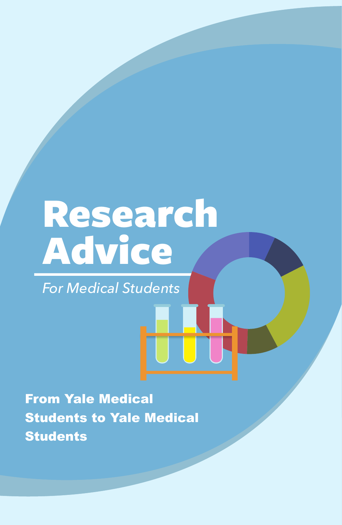# Research Advice

*For Medical Students*

From Yale Medical Students to Yale Medical **Students**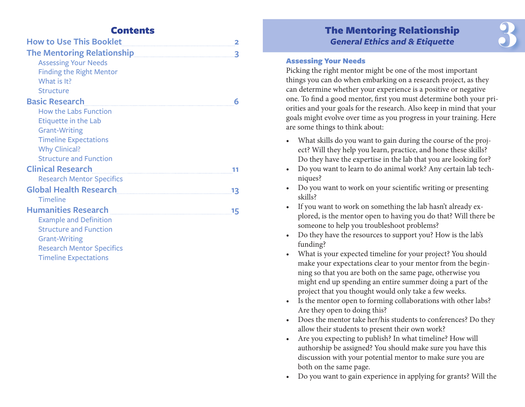| <b>How to Use This Booklet</b>                                                                                      |
|---------------------------------------------------------------------------------------------------------------------|
| The Mentoring Relationship [11] Manuscrip Relationship [11] Manuscrip Relationship [11] Manuscrip Relationship<br>3 |
| <b>Assessing Your Needs</b>                                                                                         |
| <b>Finding the Right Mentor</b>                                                                                     |
| What is It?                                                                                                         |
| <b>Structure</b>                                                                                                    |
| <b>Basic Research</b><br>6                                                                                          |
| <b>How the Labs Function</b>                                                                                        |
| Etiquette in the Lab                                                                                                |
| <b>Grant-Writing</b>                                                                                                |
| <b>Timeline Expectations</b>                                                                                        |
| <b>Why Clinical?</b>                                                                                                |
| <b>Structure and Function</b>                                                                                       |
| <b>Clinical Research</b>                                                                                            |
| <b>Research Mentor Specifics</b>                                                                                    |
| <b>Global Health Research</b><br><u> 13</u>                                                                         |
| Timeline                                                                                                            |
| Humanities Research<br>15                                                                                           |
| <b>Example and Definition</b>                                                                                       |
| <b>Structure and Function</b>                                                                                       |
| <b>Grant-Writing</b>                                                                                                |
| <b>Research Mentor Specifics</b>                                                                                    |
| <b>Timeline Expectations</b>                                                                                        |

# The Mentoring Relationship *General Ethics and & Etiquette*  **Contents**<br> **Example 2**<br> **Example 2**<br> **Example 2**<br> **Example 2**<br> **Example 2**<br> **Example 2**<br> **Example 2**<br> **Example 2**<br> **Example 2**<br> **Example 2**<br> **Example 2**<br> **Example 2**<br> **Example 2**<br> **Example 2**<br> **Example 2**<br> **Example 2**<br> **E**

#### Assessing Your Needs

Picking the right mentor might be one of the most important things you can do when embarking on a research project, as they can determine whether your experience is a positive or negative one. To fnd a good mentor, frst you must determine both your priorities and your goals for the research. Also keep in mind that your goals might evolve over time as you progress in your training. Here are some things to think about:

- What skills do you want to gain during the course of the project? Will they help you learn, practice, and hone these skills? Do they have the expertise in the lab that you are looking for?
- Do you want to learn to do animal work? Any certain lab techniques?
- Do you want to work on your scientific writing or presenting skills?
- If you want to work on something the lab hasn't already explored, is the mentor open to having you do that? Will there be someone to help you troubleshoot problems?
- Do they have the resources to support you? How is the lab's funding?
- What is your expected timeline for your project? You should make your expectations clear to your mentor from the beginning so that you are both on the same page, otherwise you might end up spending an entire summer doing a part of the project that you thought would only take a few weeks.
- Is the mentor open to forming collaborations with other labs? Are they open to doing this?
- Does the mentor take her/his students to conferences? Do they allow their students to present their own work?
- Are you expecting to publish? In what timeline? How will authorship be assigned? You should make sure you have this discussion with your potential mentor to make sure you are both on the same page.
- Do you want to gain experience in applying for grants? Will the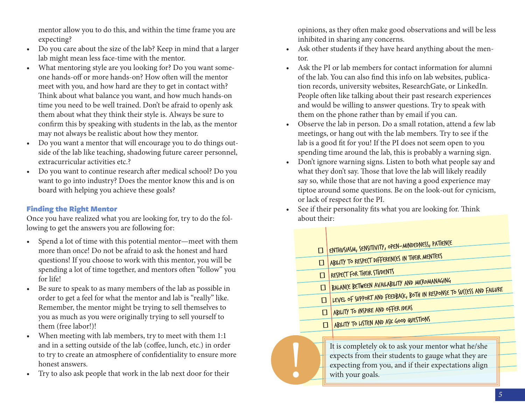<span id="page-2-0"></span>mentor allow you to do this, and within the time frame you are expecting?

- Do you care about the size of the lab? Keep in mind that a larger lab might mean less face-time with the mentor.
- What mentoring style are you looking for? Do you want someone hands-off or more hands-on? How often will the mentor meet with you, and how hard are they to get in contact with? Think about what balance you want, and how much hands-on time you need to be well trained. Don't be afraid to openly ask them about what they think their style is. Always be sure to confrm this by speaking with students in the lab, as the mentor may not always be realistic about how they mentor.
- Do you want a mentor that will encourage you to do things outside of the lab like teaching, shadowing future career personnel, extracurricular activities etc.?
- Do you want to continue research after medical school? Do you want to go into industry? Does the mentor know this and is on board with helping you achieve these goals?

## Finding the Right Mentor

Once you have realized what you are looking for, try to do the following to get the answers you are following for:

- Spend a lot of time with this potential mentor—meet with them more than once! Do not be afraid to ask the honest and hard questions! If you choose to work with this mentor, you will be spending a lot of time together, and mentors often "follow" you for life!
- Be sure to speak to as many members of the lab as possible in order to get a feel for what the mentor and lab is "really" like. Remember, the mentor might be trying to sell themselves to you as much as you were originally trying to sell yourself to them (free labor!)!
- When meeting with lab members, try to meet with them 1:1 and in a setting outside of the lab (coffee, lunch, etc.) in order to try to create an atmosphere of confdentiality to ensure more honest answers.
- Try to also ask people that work in the lab next door for their

opinions, as they often make good observations and will be less inhibited in sharing any concerns.

- Ask other students if they have heard anything about the mentor.
- Ask the PI or lab members for contact information for alumni of the lab. You can also fnd this info on lab websites, publication records, university websites, ResearchGate, or LinkedIn. People often like talking about their past research experiences and would be willing to answer questions. Try to speak with them on the phone rather than by email if you can.
- Observe the lab in person. Do a small rotation, attend a few lab meetings, or hang out with the lab members. Try to see if the lab is a good fit for you! If the PI does not seem open to you spending time around the lab, this is probably a warning sign.
- Don't ignore warning signs. Listen to both what people say and what they don't say. Those that love the lab will likely readily say so, while those that are not having a good experience may tiptoe around some questions. Be on the look-out for cynicism, or lack of respect for the PI.
- See if their personality fits what you are looking for. Think about their:

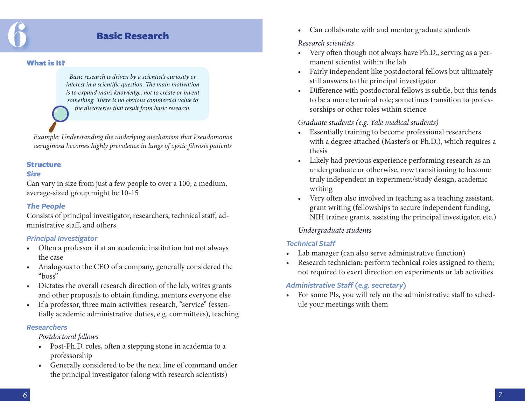# Basic Research

#### <span id="page-3-0"></span>What is It?

*Basic research is driven by a scientist's curiosity or interest in a scientific question. The main motivation is to expand man's knowledge, not to create or invent something.* T*ere is no obvious commercial value to the discoveries that result from basic research.* 

*Example: Understanding the underlying mechanism that Pseudomonas aeruginosa becomes highly prevalence in lungs of cystic* f*brosis patients*

#### Structure

#### *Size*

Can vary in size from just a few people to over a 100; a medium, average-sized group might be 10-15

#### *The People*

Consists of principal investigator, researchers, technical staf, administrative staf, and others

#### *Principal Investigator*

- Often a professor if at an academic institution but not always the case
- Analogous to the CEO of a company, generally considered the "boss"
- Dictates the overall research direction of the lab, writes grants and other proposals to obtain funding, mentors everyone else
- If a professor, three main activities: research, "service" (essentially academic administrative duties, e.g. committees), teaching

#### *Researchers*

#### *Postdoctoral fellows*

- Post-Ph.D. roles, often a stepping stone in academia to a professorship
- Generally considered to be the next line of command under the principal investigator (along with research scientists)

• Can collaborate with and mentor graduate students

#### *Research scientists*

- Very often though not always have Ph.D., serving as a permanent scientist within the lab
- Fairly independent like postdoctoral fellows but ultimately still answers to the principal investigator
- Diference with postdoctoral fellows is subtle, but this tends to be a more terminal role; sometimes transition to professorships or other roles within science

#### *Graduate students (e.g. Yale medical students)*

- Essentially training to become professional researchers with a degree attached (Master's or Ph.D.), which requires a thesis
- Likely had previous experience performing research as an undergraduate or otherwise, now transitioning to become truly independent in experiment/study design, academic writing
- Very often also involved in teaching as a teaching assistant, grant writing (fellowships to secure independent funding, NIH trainee grants, assisting the principal investigator, etc.)

## *Undergraduate students*

## *Technical Staff*

- Lab manager (can also serve administrative function)
- Research technician: perform technical roles assigned to them; not required to exert direction on experiments or lab activities

## *Administrative Staff (e.g. secretary)*

• For some PIs, you will rely on the administrative staff to schedule your meetings with them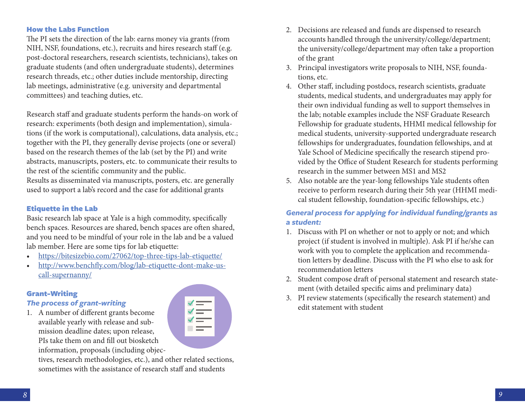#### <span id="page-4-0"></span>How the Labs Function

The PI sets the direction of the lab: earns money via grants (from NIH, NSF, foundations, etc.), recruits and hires research staff (e.g. post-doctoral researchers, research scientists, technicians), takes on graduate students (and often undergraduate students), determines research threads, etc.; other duties include mentorship, directing lab meetings, administrative (e.g. university and departmental committees) and teaching duties, etc.

Research staff and graduate students perform the hands-on work of research: experiments (both design and implementation), simulations (if the work is computational), calculations, data analysis, etc.; together with the PI, they generally devise projects (one or several) based on the research themes of the lab (set by the PI) and write abstracts, manuscripts, posters, etc. to communicate their results to the rest of the scientifc community and the public.

Results as disseminated via manuscripts, posters, etc. are generally used to support a lab's record and the case for additional grants

#### Etiquette in the Lab

Basic research lab space at Yale is a high commodity, specifcally bench spaces. Resources are shared, bench spaces are often shared, and you need to be mindful of your role in the lab and be a valued lab member. Here are some tips for lab etiquette:

- <https://bitesizebio.com/27062/top-three-tips-lab-etiquette/>
- http://www.benchf[y.com/blog/lab-etiquette-dont-make-us](http://www.benchfly.com/blog/lab-etiquette-dont-make-us-call-supernanny/)[call-supernanny/](http://www.benchfly.com/blog/lab-etiquette-dont-make-us-call-supernanny/)

#### Grant-Writing

#### *The process of grant-writing*

1. A number of diferent grants become available yearly with release and submission deadline dates; upon release, PIs take them on and fll out biosketch information, proposals (including objec-

tives, research methodologies, etc.), and other related sections, sometimes with the assistance of research staff and students

- 2. Decisions are released and funds are dispensed to research accounts handled through the university/college/department; the university/college/department may often take a proportion of the grant
- 3. Principal investigators write proposals to NIH, NSF, foundations, etc.
- 4. Other staf, including postdocs, research scientists, graduate students, medical students, and undergraduates may apply for their own individual funding as well to support themselves in the lab; notable examples include the NSF Graduate Research Fellowship for graduate students, HHMI medical fellowship for medical students, university-supported undergraduate research fellowships for undergraduates, foundation fellowships, and at Yale School of Medicine specifcally the research stipend provided by the Office of Student Research for students performing research in the summer between MS1 and MS2
- 5. Also notable are the year-long fellowships Yale students ofen receive to perform research during their 5th year (HHMI medical student fellowship, foundation-specifc fellowships, etc.)

#### *General process for applying for individual funding/grants as a student:*

- 1. Discuss with PI on whether or not to apply or not; and which project (if student is involved in multiple). Ask PI if he/she can work with you to complete the application and recommendation letters by deadline. Discuss with the PI who else to ask for recommendation letters
- 2. Student compose draft of personal statement and research statement (with detailed specifc aims and preliminary data)
- 3. PI review statements (specifcally the research statement) and edit statement with student

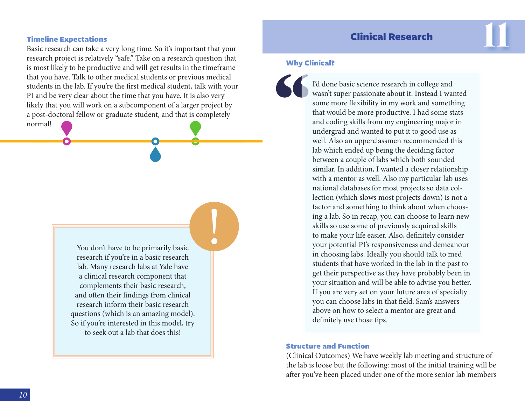# Clinical Research

#### <span id="page-5-0"></span>Timeline Expectations

Basic research can take a very long time. So it's important that your 11 research project is relatively "safe." Take on a research question that is most likely to be productive and will get results in the timeframe that you have. Talk to other medical students or previous medical students in the lab. If you're the frst medical student, talk with your PI and be very clear about the time that you have. It is also very likely that you will work on a subcomponent of a larger project by a post-doctoral fellow or graduate student, and that is completely

normal!

You don't have to be primarily basic research if you're in a basic research lab. Many research labs at Yale have a clinical research component that complements their basic research, and ofen their fndings from clinical research inform their basic research questions (which is an amazing model). So if you're interested in this model, try to seek out a lab that does this!

**!** 

#### Why Clinical?

" I'd done basic science research in college and wasn't super passionate about it. Instead I wanted some more fexibility in my work and something that would be more productive. I had some stats and coding skills from my engineering major in undergrad and wanted to put it to good use as well. Also an upperclassmen recommended this lab which ended up being the deciding factor between a couple of labs which both sounded similar. In addition, I wanted a closer relationship with a mentor as well. Also my particular lab uses national databases for most projects so data collection (which slows most projects down) is not a factor and something to think about when choosing a lab. So in recap, you can choose to learn new skills so use some of previously acquired skills to make your life easier. Also, defnitely consider your potential PI's responsiveness and demeanour in choosing labs. Ideally you should talk to med students that have worked in the lab in the past to get their perspective as they have probably been in your situation and will be able to advise you better. If you are very set on your future area of specialty you can choose labs in that feld. Sam's answers above on how to select a mentor are great and defnitely use those tips.

#### Structure and Function

(Clinical Outcomes) We have weekly lab meeting and structure of the lab is loose but the following: most of the initial training will be afer you've been placed under one of the more senior lab members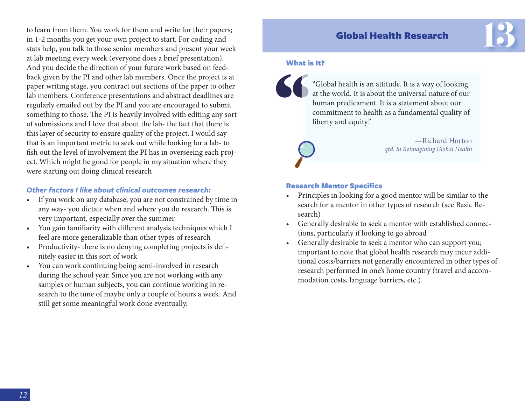<span id="page-6-0"></span>to learn from them. You work for them and write for their papers; in 1-2 months you get your own project to start. For coding and stats help, you talk to those senior members and present your week at lab meeting every week (everyone does a brief presentation). And you decide the direction of your future work based on feedback given by the PI and other lab members. Once the project is at paper writing stage, you contract out sections of the paper to other lab members. Conference presentations and abstract deadlines are regularly emailed out by the PI and you are encouraged to submit something to those. The PI is heavily involved with editing any sort of submissions and I love that about the lab- the fact that there is this layer of security to ensure quality of the project. I would say that is an important metric to seek out while looking for a lab- to fsh out the level of involvement the PI has in overseeing each project. Which might be good for people in my situation where they were starting out doing clinical research

#### *Other factors I like about clinical outcomes research:*

- If you work on any database, you are not constrained by time in any way- you dictate when and where you do research. This is very important, especially over the summer
- You gain familiarity with different analysis techniques which I feel are more generalizable than other types of research
- Productivity- there is no denying completing projects is defnitely easier in this sort of work
- You can work continuing being semi-involved in research during the school year. Since you are not working with any samples or human subjects, you can continue working in research to the tune of maybe only a couple of hours a week. And still get some meaningful work done eventually.

# Global Health Research

#### What is It?



""Global health is an attitude. It is a way of looking at the world. It is about the universal nature of our human predicament. It is a statement about our commitment to health as a fundamental quality of liberty and equity."



—Richard Horton *qtd. in Reimagining Global Health*  13

#### Research Mentor Specifics

- Principles in looking for a good mentor will be similar to the search for a mentor in other types of research (see Basic Research)
- Generally desirable to seek a mentor with established connections, particularly if looking to go abroad
- Generally desirable to seek a mentor who can support you; important to note that global health research may incur additional costs/barriers not generally encountered in other types of research performed in one's home country (travel and accommodation costs, language barriers, etc.)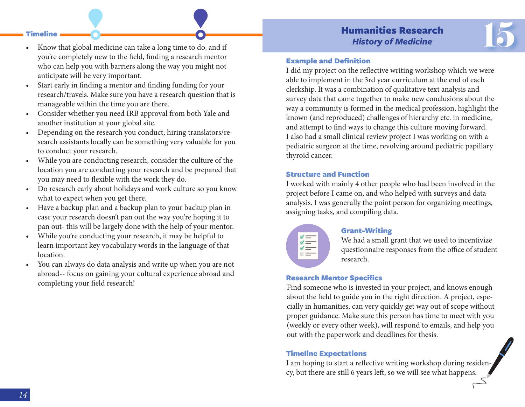# Humanities Research *History of Medicine*

- <span id="page-7-0"></span>Timeline **Computer Contract Contract Contract Contract Contract Contract Contract Contract Contract Contract Contract Contract Contract Contract Contract Contract Contract Contract Contract Contract Contract Contract Contr** • Know that global medicine can take a long time to do, and if you're completely new to the feld, fnding a research mentor who can help you with barriers along the way you might not anticipate will be very important.
- Start early in fnding a mentor and fnding funding for your research/travels. Make sure you have a research question that is manageable within the time you are there.
- Consider whether you need IRB approval from both Yale and another institution at your global site.
- Depending on the research you conduct, hiring translators/research assistants locally can be something very valuable for you to conduct your research.
- While you are conducting research, consider the culture of the location you are conducting your research and be prepared that you may need to fexible with the work they do.
- Do research early about holidays and work culture so you know what to expect when you get there.
- Have a backup plan and a backup plan to your backup plan in case your research doesn't pan out the way you're hoping it to pan out- this will be largely done with the help of your mentor.
- While you're conducting your research, it may be helpful to learn important key vocabulary words in the language of that location.
- You can always do data analysis and write up when you are not abroad-- focus on gaining your cultural experience abroad and completing your feld research!

#### Example and Definition

I did my project on the refective writing workshop which we were able to implement in the 3rd year curriculum at the end of each clerkship. It was a combination of qualitative text analysis and survey data that came together to make new conclusions about the way a community is formed in the medical profession, highlight the known (and reproduced) challenges of hierarchy etc. in medicine, and attempt to fnd ways to change this culture moving forward. I also had a small clinical review project I was working on with a pediatric surgeon at the time, revolving around pediatric papillary thyroid cancer.

#### Structure and Function

I worked with mainly 4 other people who had been involved in the project before I came on, and who helped with surveys and data analysis. I was generally the point person for organizing meetings, assigning tasks, and compiling data.

| ✔            |  |
|--------------|--|
| $\checkmark$ |  |
| ✓            |  |
|              |  |
|              |  |

#### Grant-Writing

We had a small grant that we used to incentivize questionnaire responses from the office of student research.

#### Research Mentor Specifics

Find someone who is invested in your project, and knows enough about the feld to guide you in the right direction. A project, especially in humanities, can very quickly get way out of scope without proper guidance. Make sure this person has time to meet with you (weekly or every other week), will respond to emails, and help you out with the paperwork and deadlines for thesis.

#### Timeline Expectations

I am hoping to start a refective writing workshop during residency, but there are still 6 years lef, so we will see what happens.